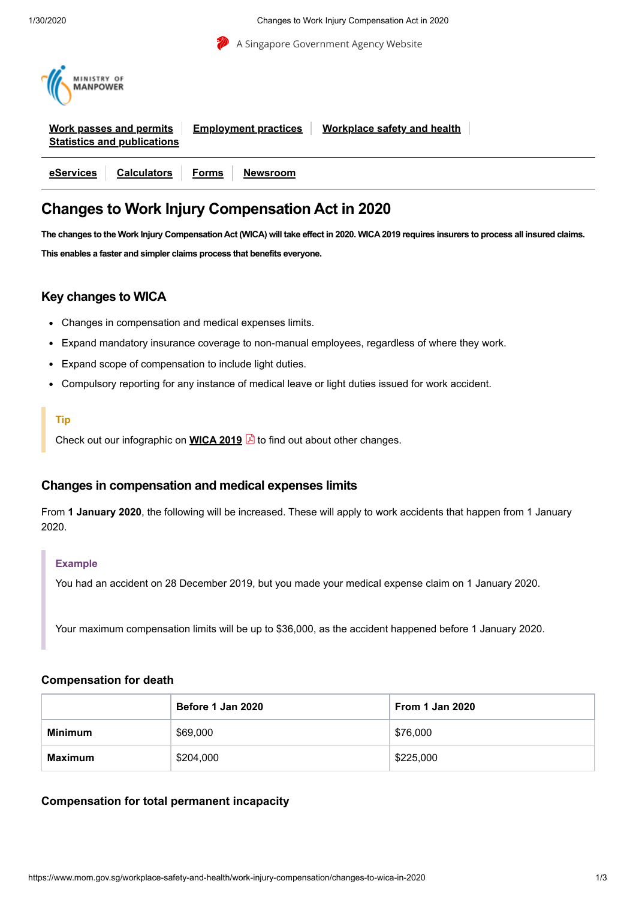

# **Changes to Work Injury Compensation Act in 2020**

The changes to the Work Injury Compensation Act (WICA) will take effect in 2020. WICA 2019 requires insurers to process all insured claims. **This enables a faster and simpler claims process that benefits everyone.**

# **Key changes to WICA**

- Changes in compensation and medical expenses limits.
- Expand mandatory insurance coverage to non-manual employees, regardless of where they work.  $\bullet$
- Expand scope of compensation to include light duties.
- Compulsory reporting for any instance of medical leave or light duties issued for work accident.

#### **Tip**

Check out our infographic on **[WICA](https://www.mom.gov.sg/-/media/mom/documents/safety-health/wica-2019-key-changes.pdf?la=en&hash=35C49B08D9921B5E8402806FE32C8D46) 2019** to find out about other changes.

# **Changes in compensation and medical expenses limits**

From **1 January 2020**, the following will be increased. These will apply to work accidents that happen from 1 January 2020.

#### **Example**

You had an accident on 28 December 2019, but you made your medical expense claim on 1 January 2020.

Your maximum compensation limits will be up to \$36,000, as the accident happened before 1 January 2020.

#### **Compensation for death**

|                | Before 1 Jan 2020 | <b>From 1 Jan 2020</b> |
|----------------|-------------------|------------------------|
| <b>Minimum</b> | \$69,000          | \$76,000               |
| <b>Maximum</b> | \$204,000         | \$225,000              |

#### **Compensation for total permanent incapacity**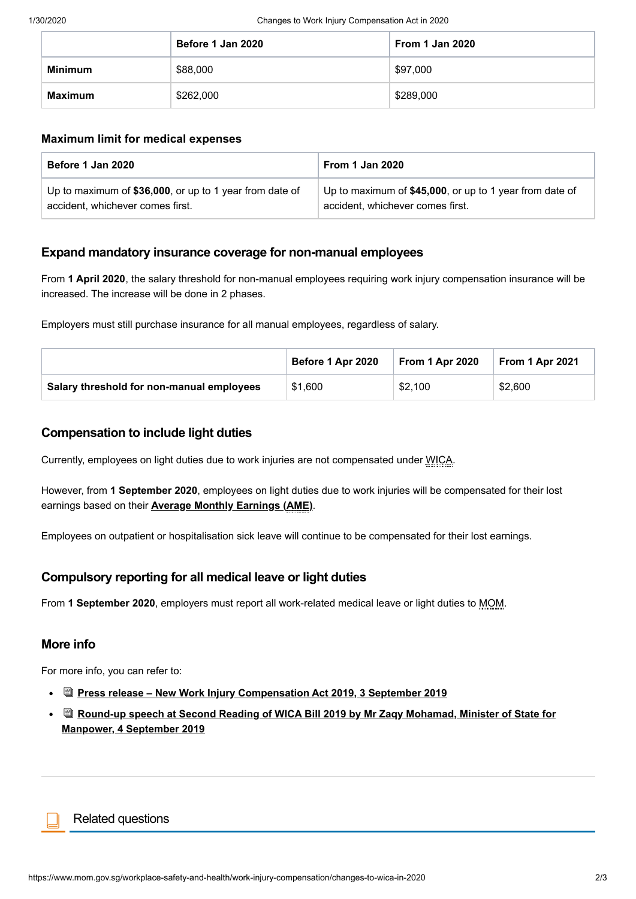|                | Before 1 Jan 2020 | <b>From 1 Jan 2020</b> |
|----------------|-------------------|------------------------|
| <b>Minimum</b> | \$88,000          | \$97,000               |
| <b>Maximum</b> | \$262,000         | \$289,000              |

#### **Maximum limit for medical expenses**

| Before 1 Jan 2020                                       | <b>From 1 Jan 2020</b>                                  |  |  |
|---------------------------------------------------------|---------------------------------------------------------|--|--|
| Up to maximum of \$36,000, or up to 1 year from date of | Up to maximum of \$45,000, or up to 1 year from date of |  |  |
| accident, whichever comes first.                        | accident, whichever comes first.                        |  |  |

# **Expand mandatory insurance coverage for non-manual employees**

From **1 April 2020**, the salary threshold for non-manual employees requiring work injury compensation insurance will be increased. The increase will be done in 2 phases.

Employers must still purchase insurance for all manual employees, regardless of salary.

|                                           | Before 1 Apr 2020 | From 1 Apr 2020 | <b>From 1 Apr 2021</b> |
|-------------------------------------------|-------------------|-----------------|------------------------|
| Salary threshold for non-manual employees | \$1,600           | \$2,100         | \$2,600                |

# **Compensation to include light duties**

Currently, employees on light duties due to work injuries are not compensated under WICA.

However, from **1 September 2020**, employees on light duties due to work injuries will be compensated for their lost earnings based on their **Average Monthly [Earnings](https://www.mom.gov.sg/workplace-safety-and-health/work-injury-compensation/resources-and-tools/wic-calculators/average-monthly-earnings) (AME)**.

Employees on outpatient or hospitalisation sick leave will continue to be compensated for their lost earnings.

# **Compulsory reporting for all medical leave or light duties**

From **1 September 2020**, employers must report all work-related medical leave or light duties to MOM.

# **More info**

For more info, you can refer to:

- **Press release – New Work Injury [Compensation](https://www.mom.gov.sg/newsroom/press-releases/2019/0803-new-work-injury-compensation-act-2019) Act 2019, 3 September 2019**
- **Round-up speech at Second Reading of WICA Bill 2019 by Mr Zaqy Mohamad, Minister of State for Manpower, 4 [September](https://www.mom.gov.sg/newsroom/speeches/2019/0903-wica-bill-second-reading-speech-by-minister-of-state-for-manpower-mr-zaqy-mohamad) 2019**